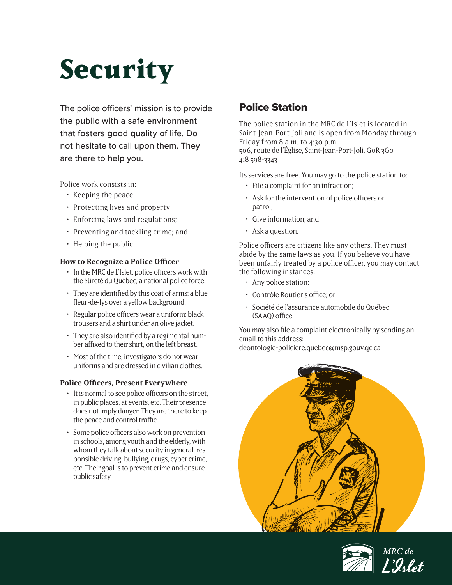# **Security**

The police officers' mission is to provide the public with a safe environment that fosters good quality of life. Do not hesitate to call upon them. They are there to help you.

Police work consists in:

- Keeping the peace;
- Protecting lives and property;
- Enforcing laws and regulations;
- Preventing and tackling crime; and
- Helping the public.

### **How to Recognize a Police Officer**

- In the MRC de L'Islet, police officers work with the Sûreté du Québec, a national police force.
- They are identified by this coat of arms: a blue fleur-de-lys over a yellow background.
- Regular police officers wear a uniform: black trousers and a shirt under an olive jacket.
- They are also identified by a regimental number affixed to their shirt, on the left breast.
- Most of the time, investigators do not wear uniforms and are dressed in civilian clothes.

### **Police Officers, Present Everywhere**

- It is normal to see police officers on the street, in public places, at events, etc. Their presence does not imply danger. They are there to keep the peace and control traffic.
- Some police officers also work on prevention in schools, among youth and the elderly, with whom they talk about security in general, responsible driving, bullying, drugs, cyber crime, etc. Their goal is to prevent crime and ensure public safety.

# Police Station

The police station in the MRC de L'Islet is located in Saint-Jean-Port-Joli and is open from Monday through Friday from 8 a.m. to 4:30 p.m. 506, route de l'Église, Saint-Jean-Port-Joli, G0R 3G0 418 598-3343

Its services are free. You may go to the police station to:

- File a complaint for an infraction;
- Ask for the intervention of police officers on patrol;
- Give information; and
- Ask a question.

Police officers are citizens like any others. They must abide by the same laws as you. If you believe you have been unfairly treated by a police officer, you may contact the following instances:

- Any police station;
- Contrôle Routier's office; or
- Société de l'assurance automobile du Québec (SAAQ) office.

You may also file a complaint electronically by sending an email to this address:

deontologie-policiere.quebec@msp.gouv.qc.ca



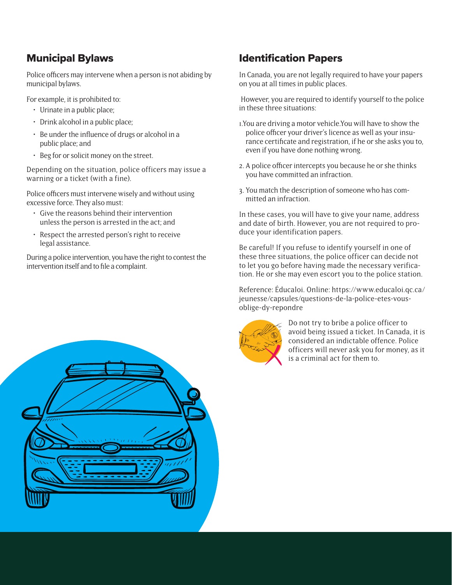# Municipal Bylaws

Police officers may intervene when a person is not abiding by municipal bylaws.

For example, it is prohibited to:

- Urinate in a public place;
- Drink alcohol in a public place;
- Be under the influence of drugs or alcohol in a public place; and
- Beg for or solicit money on the street.

Depending on the situation, police officers may issue a warning or a ticket (with a fine).

Police officers must intervene wisely and without using excessive force. They also must:

- Give the reasons behind their intervention unless the person is arrested in the act; and
- Respect the arrested person's right to receive legal assistance.

During a police intervention, you have the right to contest the intervention itself and to file a complaint.

## Identification Papers

In Canada, you are not legally required to have your papers on you at all times in public places.

However, you are required to identify yourself to the police in these three situations:

- 1.You are driving a motor vehicle.You will have to show the police officer your driver's licence as well as your insurance certificate and registration, if he or she asks you to, even if you have done nothing wrong.
- 2. A police officer intercepts you because he or she thinks you have committed an infraction.
- 3. You match the description of someone who has committed an infraction.

In these cases, you will have to give your name, address and date of birth. However, you are not required to produce your identification papers.

Be careful! If you refuse to identify yourself in one of these three situations, the police officer can decide not to let you go before having made the necessary verification. He or she may even escort you to the police station.

Reference: Éducaloi. Online: https://www.educaloi.qc.ca/ jeunesse/capsules/questions-de-la-police-etes-vousoblige-dy-repondre



Do not try to bribe a police officer to avoid being issued a ticket. In Canada, it is considered an indictable offence. Police officers will never ask you for money, as it is a criminal act for them to.